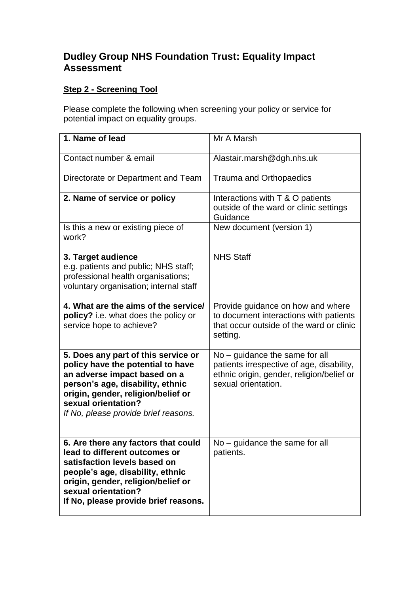## **Dudley Group NHS Foundation Trust: Equality Impact Assessment**

## **Step 2 - Screening Tool**

Please complete the following when screening your policy or service for potential impact on equality groups.

| 1. Name of lead                                                                                                                                                                                                                                   | Mr A Marsh                                                                                                                                        |
|---------------------------------------------------------------------------------------------------------------------------------------------------------------------------------------------------------------------------------------------------|---------------------------------------------------------------------------------------------------------------------------------------------------|
| Contact number & email                                                                                                                                                                                                                            | Alastair.marsh@dgh.nhs.uk                                                                                                                         |
| Directorate or Department and Team                                                                                                                                                                                                                | <b>Trauma and Orthopaedics</b>                                                                                                                    |
| 2. Name of service or policy                                                                                                                                                                                                                      | Interactions with T & O patients<br>outside of the ward or clinic settings<br>Guidance                                                            |
| Is this a new or existing piece of<br>work?                                                                                                                                                                                                       | New document (version 1)                                                                                                                          |
| 3. Target audience<br>e.g. patients and public; NHS staff;<br>professional health organisations;<br>voluntary organisation; internal staff                                                                                                        | <b>NHS Staff</b>                                                                                                                                  |
| 4. What are the aims of the service/<br>policy? i.e. what does the policy or<br>service hope to achieve?                                                                                                                                          | Provide guidance on how and where<br>to document interactions with patients<br>that occur outside of the ward or clinic<br>setting.               |
| 5. Does any part of this service or<br>policy have the potential to have<br>an adverse impact based on a<br>person's age, disability, ethnic<br>origin, gender, religion/belief or<br>sexual orientation?<br>If No, please provide brief reasons. | $No - guidance$ the same for all<br>patients irrespective of age, disability,<br>ethnic origin, gender, religion/belief or<br>sexual orientation. |
| 6. Are there any factors that could<br>lead to different outcomes or<br>satisfaction levels based on<br>people's age, disability, ethnic<br>origin, gender, religion/belief or<br>sexual orientation?<br>If No, please provide brief reasons.     | $No - guidance$ the same for all<br>patients.                                                                                                     |